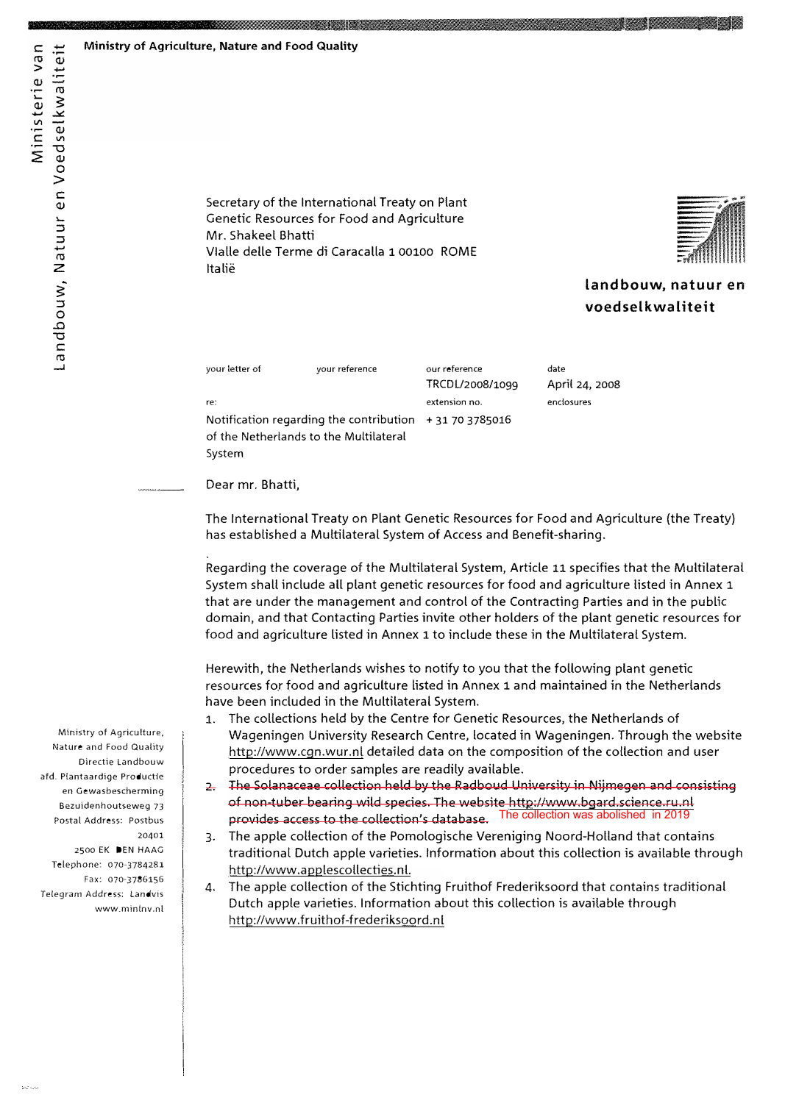Ministerie van

Landbouw, Natuur en Voedselkwaliteit

Secretary of the International Treaty on Plant Genetic Resources for Food and Agriculture Mr. Shakeel Bhatti Vialle delle Terme di Caracalla 1 00100 ROME Italië

<u> Simming Manager of the State of the State of the State of the State of the State of the State of the State of the State of the State of the State of the State of the State of the State of the State of the State of the St</u>



landbouw, natuur en voedselkwaliteit

| your letter of                                         | your reference                         | our reference   | date           |
|--------------------------------------------------------|----------------------------------------|-----------------|----------------|
|                                                        |                                        | TRCDL/2008/1099 | April 24, 2008 |
| re:                                                    |                                        | extension no.   | enclosures     |
| Notification regarding the contribution $+31703785016$ |                                        |                 |                |
|                                                        | of the Netherlands to the Multilateral |                 |                |
| System                                                 |                                        |                 |                |

Dear mr. Bhatti,

The International Treaty on Plant Genetic Resources for Food and Agriculture (the Treaty) has established a Multilateral System of Access and Benefit-sharing.

Regarding the coverage of the Multilateral System, Article 11 specifies that the Multilateral System shall include all plant genetic resources for food and agriculture listed in Annex 1 that are under the management and control of the Contracting Parties and in the public domain, and that Contacting Parties invite other holders of the plant genetic resources for food and agriculture listed in Annex 1 to include these in the Multilateral System.

Herewith, the Netherlands wishes to notify to you that the following plant genetic resources for food and agriculture listed in Annex 1 and maintained in the Netherlands have been included in the Multilateral System.

- The collections held by the Centre for Genetic Resources, the Netherlands of  $1.$ Wageningen University Research Centre, located in Wageningen. Through the website http://www.cgn.wur.nl detailed data on the composition of the collection and user procedures to order samples are readily available.
- The Solanaceae collection held by the Radboud University in Nijmegen and consisting  $\mathbf{P}$ of non-tuber bearing wild species. The website http://www.bgard.science.ru.nl The collection was abolished in 2019 provides access to the collection's database.
- The apple collection of the Pomologische Vereniging Noord-Holland that contains  $\overline{3}$ . traditional Dutch apple varieties. Information about this collection is available through http://www.applescollecties.nl.
- 4. The apple collection of the Stichting Fruithof Frederiksoord that contains traditional Dutch apple varieties. Information about this collection is available through http://www.fruithof-frederiksoord.nl

Ministry of Agriculture, Nature and Food Quality Directie Landbouw afd. Plantaardige Productie en Gewasbescherming Bezuidenhoutseweg 73 Postal Address: Postbus 20401

2500 EK DEN HAAG Telephone: 070-3784281 Fax: 070-3786156 Telegram Address: Landvis www.mintnv.nl